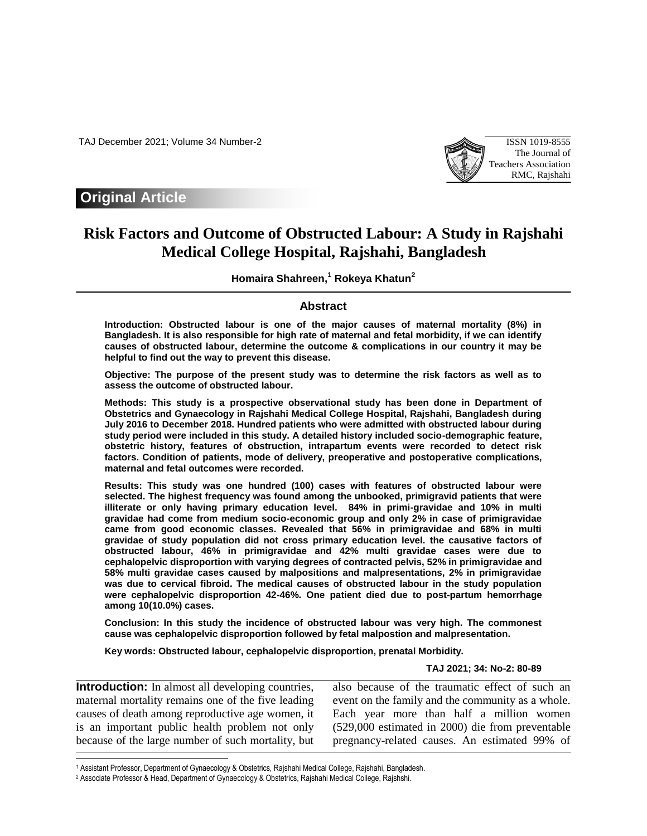TAJ December 2021; Volume 34 Number-2 ISSN 1019-8555



# **Original Article**

# **Risk Factors and Outcome of Obstructed Labour: A Study in Rajshahi Medical College Hospital, Rajshahi, Bangladesh**

**Homaira Shahreen, <sup>1</sup> Rokeya Khatun<sup>2</sup>**

# **Abstract**

**Introduction: Obstructed labour is one of the major causes of maternal mortality (8%) in Bangladesh. It is also responsible for high rate of maternal and fetal morbidity, if we can identify causes of obstructed labour, determine the outcome & complications in our country it may be helpful to find out the way to prevent this disease.** 

**Objective: The purpose of the present study was to determine the risk factors as well as to assess the outcome of obstructed labour.** 

**Methods: This study is a prospective observational study has been done in Department of Obstetrics and Gynaecology in Rajshahi Medical College Hospital, Rajshahi, Bangladesh during July 2016 to December 2018. Hundred patients who were admitted with obstructed labour during study period were included in this study. A detailed history included socio-demographic feature, obstetric history, features of obstruction, intrapartum events were recorded to detect risk factors. Condition of patients, mode of delivery, preoperative and postoperative complications, maternal and fetal outcomes were recorded.** 

**Results: This study was one hundred (100) cases with features of obstructed labour were selected. The highest frequency was found among the unbooked, primigravid patients that were illiterate or only having primary education level. 84% in primi-gravidae and 10% in multi gravidae had come from medium socio-economic group and only 2% in case of primigravidae came from good economic classes. Revealed that 56% in primigravidae and 68% in multi gravidae of study population did not cross primary education level. the causative factors of obstructed labour, 46% in primigravidae and 42% multi gravidae cases were due to cephalopelvic disproportion with varying degrees of contracted pelvis, 52% in primigravidae and 58% multi gravidae cases caused by malpositions and malpresentations, 2% in primigravidae was due to cervical fibroid. The medical causes of obstructed labour in the study population were cephalopelvic disproportion 42-46%. One patient died due to post-partum hemorrhage among 10(10.0%) cases.** 

**Conclusion: In this study the incidence of obstructed labour was very high. The commonest cause was cephalopelvic disproportion followed by fetal malpostion and malpresentation.** 

**Key words: Obstructed labour, cephalopelvic disproportion, prenatal Morbidity.** 

#### **TAJ 2021; 34: No-2: 80-89**

**Introduction:** In almost all developing countries, maternal mortality remains one of the five leading causes of death among reproductive age women, it is an important public health problem not only because of the large number of such mortality, but

I

also because of the traumatic effect of such an event on the family and the community as a whole. Each year more than half a million women (529,000 estimated in 2000) die from preventable pregnancy-related causes. An estimated 99% of

<sup>1</sup> Assistant Professor, Department of Gynaecology & Obstetrics, Rajshahi Medical College, Rajshahi, Bangladesh.

<sup>2</sup> Associate Professor & Head, Department of Gynaecology & Obstetrics, Rajshahi Medical College, Rajshshi.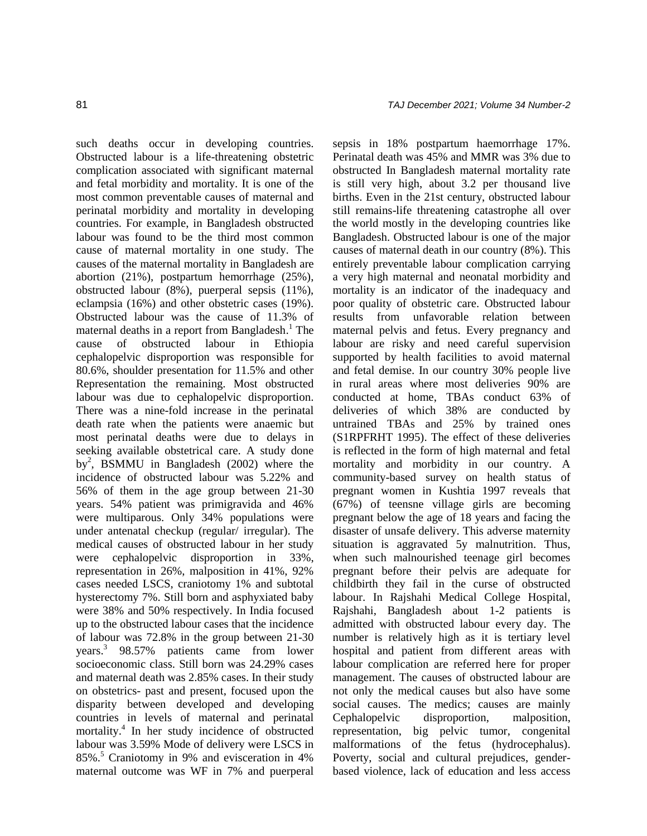such deaths occur in developing countries. Obstructed labour is a life-threatening obstetric complication associated with significant maternal and fetal morbidity and mortality. It is one of the most common preventable causes of maternal and perinatal morbidity and mortality in developing countries. For example, in Bangladesh obstructed labour was found to be the third most common cause of maternal mortality in one study. The causes of the maternal mortality in Bangladesh are abortion (21%), postpartum hemorrhage (25%), obstructed labour (8%), puerperal sepsis (11%), eclampsia (16%) and other obstetric cases (19%). Obstructed labour was the cause of 11.3% of maternal deaths in a report from Bangladesh.<sup>1</sup> The cause of obstructed labour in Ethiopia cephalopelvic disproportion was responsible for 80.6%, shoulder presentation for 11.5% and other Representation the remaining. Most obstructed labour was due to cephalopelvic disproportion. There was a nine-fold increase in the perinatal death rate when the patients were anaemic but most perinatal deaths were due to delays in seeking available obstetrical care. A study done by<sup>2</sup>, BSMMU in Bangladesh (2002) where the incidence of obstructed labour was 5.22% and 56% of them in the age group between 21-30 years. 54% patient was primigravida and 46% were multiparous. Only 34% populations were under antenatal checkup (regular/ irregular). The medical causes of obstructed labour in her study were cephalopelvic disproportion in 33%, representation in 26%, malposition in 41%, 92% cases needed LSCS, craniotomy 1% and subtotal hysterectomy 7%. Still born and asphyxiated baby were 38% and 50% respectively. In India focused up to the obstructed labour cases that the incidence of labour was 72.8% in the group between 21-30 years. 3 98.57% patients came from lower socioeconomic class. Still born was 24.29% cases and maternal death was 2.85% cases. In their study on obstetrics- past and present, focused upon the disparity between developed and developing countries in levels of maternal and perinatal mortality. 4 In her study incidence of obstructed labour was 3.59% Mode of delivery were LSCS in 85%. <sup>5</sup> Craniotomy in 9% and evisceration in 4% maternal outcome was WF in 7% and puerperal

sepsis in 18% postpartum haemorrhage 17%. Perinatal death was 45% and MMR was 3% due to obstructed In Bangladesh maternal mortality rate is still very high, about 3.2 per thousand live births. Even in the 21st century, obstructed labour still remains-life threatening catastrophe all over the world mostly in the developing countries like Bangladesh. Obstructed labour is one of the major causes of maternal death in our country (8%). This entirely preventable labour complication carrying a very high maternal and neonatal morbidity and mortality is an indicator of the inadequacy and poor quality of obstetric care. Obstructed labour results from unfavorable relation between maternal pelvis and fetus. Every pregnancy and labour are risky and need careful supervision supported by health facilities to avoid maternal and fetal demise. In our country 30% people live in rural areas where most deliveries 90% are conducted at home, TBAs conduct 63% of deliveries of which 38% are conducted by untrained TBAs and 25% by trained ones (S1RPFRHT 1995). The effect of these deliveries is reflected in the form of high maternal and fetal mortality and morbidity in our country. A community-based survey on health status of pregnant women in Kushtia 1997 reveals that (67%) of teensne village girls are becoming pregnant below the age of 18 years and facing the disaster of unsafe delivery. This adverse maternity situation is aggravated 5y malnutrition. Thus, when such malnourished teenage girl becomes pregnant before their pelvis are adequate for childbirth they fail in the curse of obstructed labour. In Rajshahi Medical College Hospital, Rajshahi, Bangladesh about 1-2 patients is admitted with obstructed labour every day. The number is relatively high as it is tertiary level hospital and patient from different areas with labour complication are referred here for proper management. The causes of obstructed labour are not only the medical causes but also have some social causes. The medics; causes are mainly Cephalopelvic disproportion, malposition, representation, big pelvic tumor, congenital malformations of the fetus (hydrocephalus). Poverty, social and cultural prejudices, genderbased violence, lack of education and less access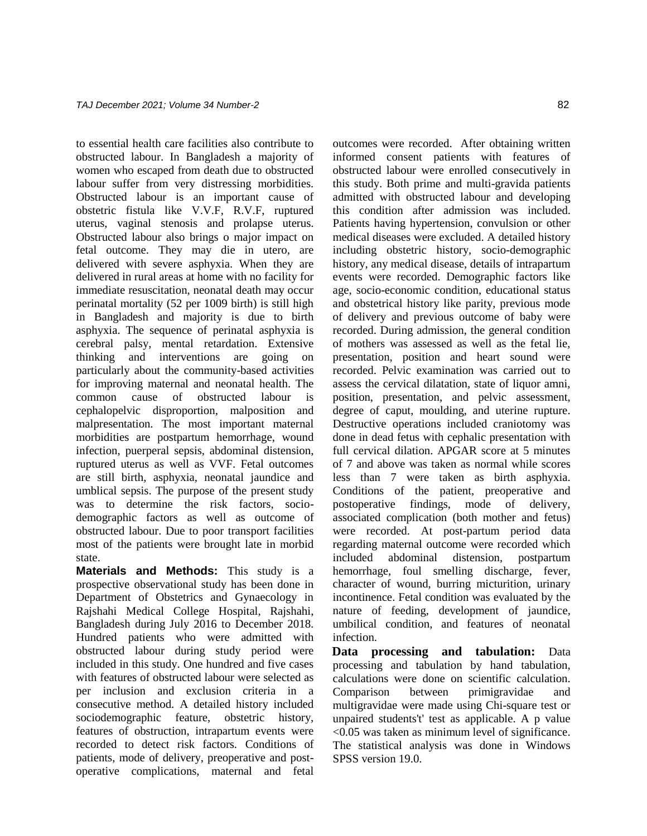to essential health care facilities also contribute to obstructed labour. In Bangladesh a majority of women who escaped from death due to obstructed labour suffer from very distressing morbidities. Obstructed labour is an important cause of obstetric fistula like V.V.F, R.V.F, ruptured uterus, vaginal stenosis and prolapse uterus. Obstructed labour also brings o major impact on fetal outcome. They may die in utero, are delivered with severe asphyxia. When they are delivered in rural areas at home with no facility for immediate resuscitation, neonatal death may occur perinatal mortality (52 per 1009 birth) is still high in Bangladesh and majority is due to birth asphyxia. The sequence of perinatal asphyxia is cerebral palsy, mental retardation. Extensive thinking and interventions are going on particularly about the community-based activities for improving maternal and neonatal health. The common cause of obstructed labour is cephalopelvic disproportion, malposition and malpresentation. The most important maternal morbidities are postpartum hemorrhage, wound infection, puerperal sepsis, abdominal distension, ruptured uterus as well as VVF. Fetal outcomes are still birth, asphyxia, neonatal jaundice and umblical sepsis. The purpose of the present study was to determine the risk factors, sociodemographic factors as well as outcome of obstructed labour. Due to poor transport facilities most of the patients were brought late in morbid state.

**Materials and Methods:** This study is a prospective observational study has been done in Department of Obstetrics and Gynaecology in Rajshahi Medical College Hospital, Rajshahi, Bangladesh during July 2016 to December 2018. Hundred patients who were admitted with obstructed labour during study period were included in this study. One hundred and five cases with features of obstructed labour were selected as per inclusion and exclusion criteria in a consecutive method. A detailed history included sociodemographic feature, obstetric history, features of obstruction, intrapartum events were recorded to detect risk factors. Conditions of patients, mode of delivery, preoperative and postoperative complications, maternal and fetal outcomes were recorded. After obtaining written informed consent patients with features of obstructed labour were enrolled consecutively in this study. Both prime and multi-gravida patients admitted with obstructed labour and developing this condition after admission was included. Patients having hypertension, convulsion or other medical diseases were excluded. A detailed history including obstetric history, socio-demographic history, any medical disease, details of intrapartum events were recorded. Demographic factors like age, socio-economic condition, educational status and obstetrical history like parity, previous mode of delivery and previous outcome of baby were recorded. During admission, the general condition of mothers was assessed as well as the fetal lie, presentation, position and heart sound were recorded. Pelvic examination was carried out to assess the cervical dilatation, state of liquor amni, position, presentation, and pelvic assessment, degree of caput, moulding, and uterine rupture. Destructive operations included craniotomy was done in dead fetus with cephalic presentation with full cervical dilation. APGAR score at 5 minutes of 7 and above was taken as normal while scores less than 7 were taken as birth asphyxia. Conditions of the patient, preoperative and postoperative findings, mode of delivery, associated complication (both mother and fetus) were recorded. At post-partum period data regarding maternal outcome were recorded which included abdominal distension, postpartum hemorrhage, foul smelling discharge, fever, character of wound, burring micturition, urinary incontinence. Fetal condition was evaluated by the nature of feeding, development of jaundice, umbilical condition, and features of neonatal infection.

**Data processing and tabulation:** Data processing and tabulation by hand tabulation, calculations were done on scientific calculation. Comparison between primigravidae and multigravidae were made using Chi-square test or unpaired students't' test as applicable. A p value <0.05 was taken as minimum level of significance. The statistical analysis was done in Windows SPSS version 19.0.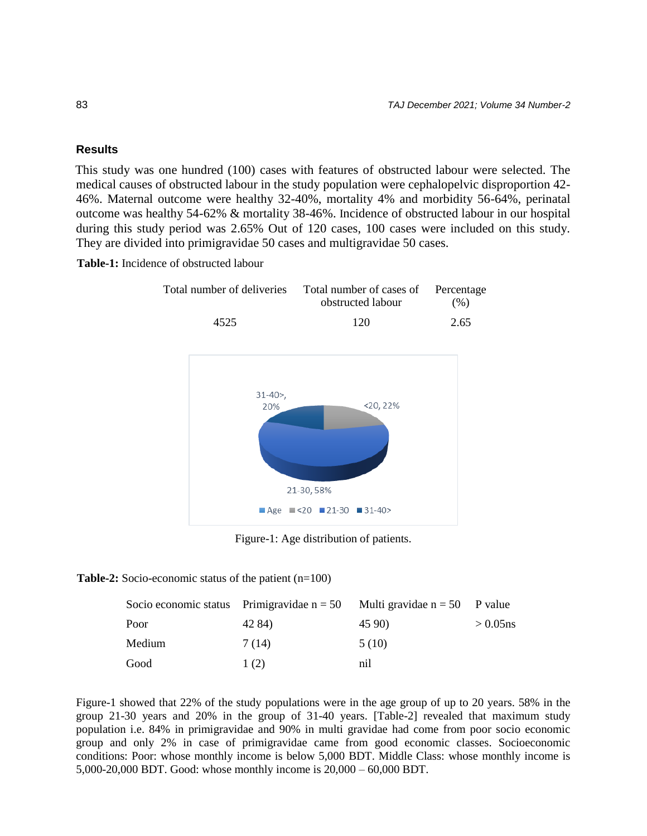# **Results**

This study was one hundred (100) cases with features of obstructed labour were selected. The medical causes of obstructed labour in the study population were cephalopelvic disproportion 42- 46%. Maternal outcome were healthy 32-40%, mortality 4% and morbidity 56-64%, perinatal outcome was healthy 54-62% & mortality 38-46%. Incidence of obstructed labour in our hospital during this study period was 2.65% Out of 120 cases, 100 cases were included on this study. They are divided into primigravidae 50 cases and multigravidae 50 cases.

**Table-1:** Incidence of obstructed labour



Figure-1: Age distribution of patients.

**Table-2:** Socio-economic status of the patient (n=100)

|        |        | Socio economic status Primigravidae $n = 50$ Multi gravidae $n = 50$ P value |             |
|--------|--------|------------------------------------------------------------------------------|-------------|
| Poor   | 42 84) | 45 90)                                                                       | $> 0.05$ ns |
| Medium | 7 (14) | 5(10)                                                                        |             |
| Good   | 1(2)   | nil                                                                          |             |

Figure-1 showed that 22% of the study populations were in the age group of up to 20 years. 58% in the group 21-30 years and 20% in the group of 31-40 years. [Table-2] revealed that maximum study population i.e. 84% in primigravidae and 90% in multi gravidae had come from poor socio economic group and only 2% in case of primigravidae came from good economic classes. Socioeconomic conditions: Poor: whose monthly income is below 5,000 BDT. Middle Class: whose monthly income is 5,000-20,000 BDT. Good: whose monthly income is 20,000 – 60,000 BDT.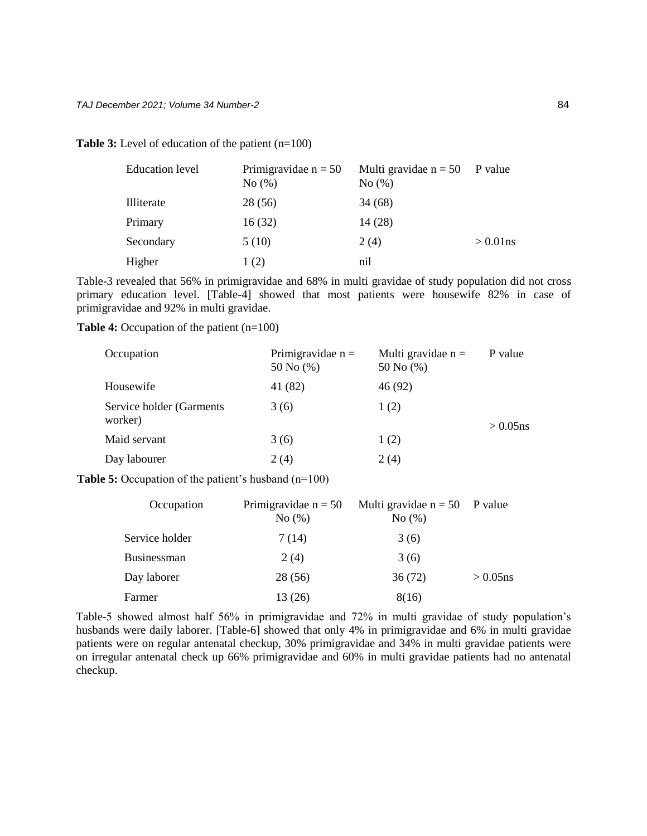**Table 3:** Level of education of the patient (n=100)

| <b>Education</b> level | Primigravidae $n = 50$<br>No(%) | Multi gravidae $n = 50$ P value<br>No(%) |             |
|------------------------|---------------------------------|------------------------------------------|-------------|
| Illiterate             | 28(56)                          | 34 (68)                                  |             |
| Primary                | 16(32)                          | 14(28)                                   |             |
| Secondary              | 5(10)                           | 2(4)                                     | $> 0.01$ ns |
| Higher                 | 1(2)                            | nil                                      |             |

Table-3 revealed that 56% in primigravidae and 68% in multi gravidae of study population did not cross primary education level. [Table-4] showed that most patients were housewife 82% in case of primigravidae and 92% in multi gravidae.

**Table 4:** Occupation of the patient (n=100)

| Occupation                           | Primigravidae $n =$<br>50 No (%) | Multi gravidae $n =$<br>50 No $(\% )$ | P value     |
|--------------------------------------|----------------------------------|---------------------------------------|-------------|
| Housewife                            | 41 (82)                          | 46 (92)                               |             |
| Service holder (Garments)<br>worker) | 3(6)                             | 1(2)                                  | $> 0.05$ ns |
| Maid servant                         | 3(6)                             | 1(2)                                  |             |
| Day labourer                         | 2(4)                             | 2(4)                                  |             |

**Table 5:** Occupation of the patient's husband (n=100)

| Occupation         | Primigravidae $n = 50$<br>No(%) | Multi gravidae $n = 50$ P value<br>No(%) |             |
|--------------------|---------------------------------|------------------------------------------|-------------|
| Service holder     | 7(14)                           | 3(6)                                     |             |
| <b>Businessman</b> | 2(4)                            | 3(6)                                     |             |
| Day laborer        | 28(56)                          | 36(72)                                   | $> 0.05$ ns |
| Farmer             | 13 (26)                         | 8(16)                                    |             |

Table-5 showed almost half 56% in primigravidae and 72% in multi gravidae of study population's husbands were daily laborer. [Table-6] showed that only 4% in primigravidae and 6% in multi gravidae patients were on regular antenatal checkup, 30% primigravidae and 34% in multi gravidae patients were on irregular antenatal check up 66% primigravidae and 60% in multi gravidae patients had no antenatal checkup.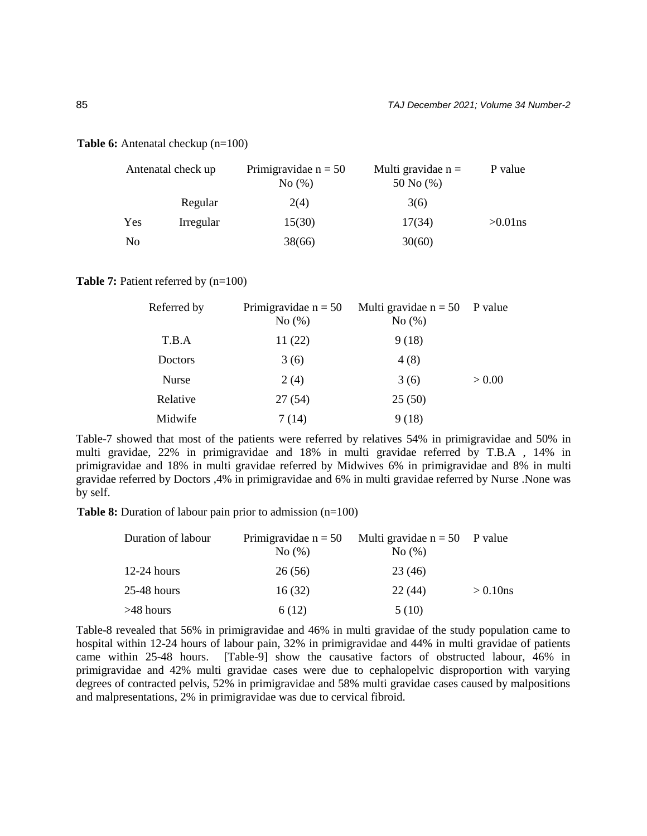#### **Table 6:** Antenatal checkup (n=100)

|     | Antenatal check up | Primigravidae $n = 50$<br>No(%) | Multi gravidae $n =$<br>50 No $(\% )$ | P value    |
|-----|--------------------|---------------------------------|---------------------------------------|------------|
|     | Regular            | 2(4)                            | 3(6)                                  |            |
| Yes | Irregular          | 15(30)                          | 17(34)                                | $>0.01$ ns |
| No  |                    | 38(66)                          | 30(60)                                |            |

#### **Table 7:** Patient referred by  $(n=100)$

| Referred by | Primigravidae $n = 50$<br>No(%) | Multi gravidae $n = 50$ P value<br>No(%) |        |
|-------------|---------------------------------|------------------------------------------|--------|
| T.B.A       | 11(22)                          | 9(18)                                    |        |
| Doctors     | 3(6)                            | 4(8)                                     |        |
| Nurse       | 2(4)                            | 3(6)                                     | > 0.00 |
| Relative    | 27(54)                          | 25(50)                                   |        |
| Midwife     | 7(14)                           | 9(18)                                    |        |

Table-7 showed that most of the patients were referred by relatives 54% in primigravidae and 50% in multi gravidae, 22% in primigravidae and 18% in multi gravidae referred by T.B.A , 14% in primigravidae and 18% in multi gravidae referred by Midwives 6% in primigravidae and 8% in multi gravidae referred by Doctors ,4% in primigravidae and 6% in multi gravidae referred by Nurse .None was by self.

**Table 8:** Duration of labour pain prior to admission (n=100)

| Duration of labour | Primigravidae $n = 50$ | Multi gravidae $n = 50$ P value |             |  |
|--------------------|------------------------|---------------------------------|-------------|--|
|                    | No(%)                  | No(%)                           |             |  |
| $12-24$ hours      | 26(56)                 | 23 (46)                         |             |  |
| 25-48 hours        | 16(32)                 | 22(44)                          | $> 0.10$ ns |  |
| >48 hours          | 6 (12)                 | 5(10)                           |             |  |

Table-8 revealed that 56% in primigravidae and 46% in multi gravidae of the study population came to hospital within 12-24 hours of labour pain, 32% in primigravidae and 44% in multi gravidae of patients came within 25-48 hours. [Table-9] show the causative factors of obstructed labour, 46% in primigravidae and 42% multi gravidae cases were due to cephalopelvic disproportion with varying degrees of contracted pelvis, 52% in primigravidae and 58% multi gravidae cases caused by malpositions and malpresentations, 2% in primigravidae was due to cervical fibroid.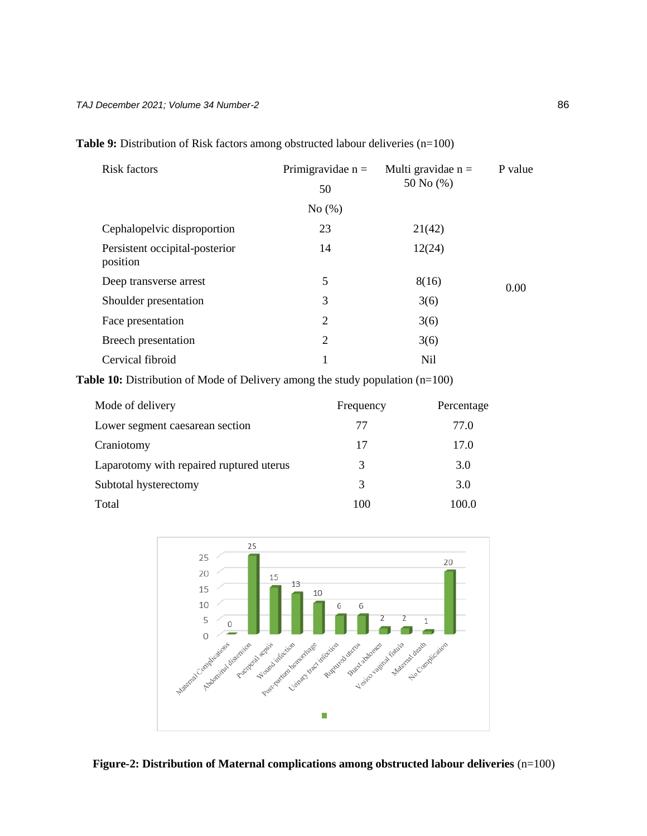| <b>Risk factors</b>                        | Primigravidae $n =$ | Multi gravidae $n =$ | P value |
|--------------------------------------------|---------------------|----------------------|---------|
|                                            | 50                  | 50 No $(\% )$        |         |
|                                            | No $(\% )$          |                      |         |
| Cephalopelvic disproportion                | 23                  | 21(42)               |         |
| Persistent occipital-posterior<br>position | 14                  | 12(24)               |         |
| Deep transverse arrest                     | 5                   | 8(16)                | 0.00    |
| Shoulder presentation                      | 3                   | 3(6)                 |         |
| Face presentation                          | 2                   | 3(6)                 |         |
| Breech presentation                        | 2                   | 3(6)                 |         |
| Cervical fibroid                           |                     | <b>Nil</b>           |         |

Table 9: Distribution of Risk factors among obstructed labour deliveries (n=100)

Table 10: Distribution of Mode of Delivery among the study population (n=100)

| Mode of delivery                         | Frequency | Percentage |
|------------------------------------------|-----------|------------|
| Lower segment caesarean section          | 77        | 77.0       |
| Craniotomy                               | 17        | 17.0       |
| Laparotomy with repaired ruptured uterus | 3         | 3.0        |
| Subtotal hysterectomy                    | 3         | 3.0        |
| Total                                    | 100       | 100.0      |



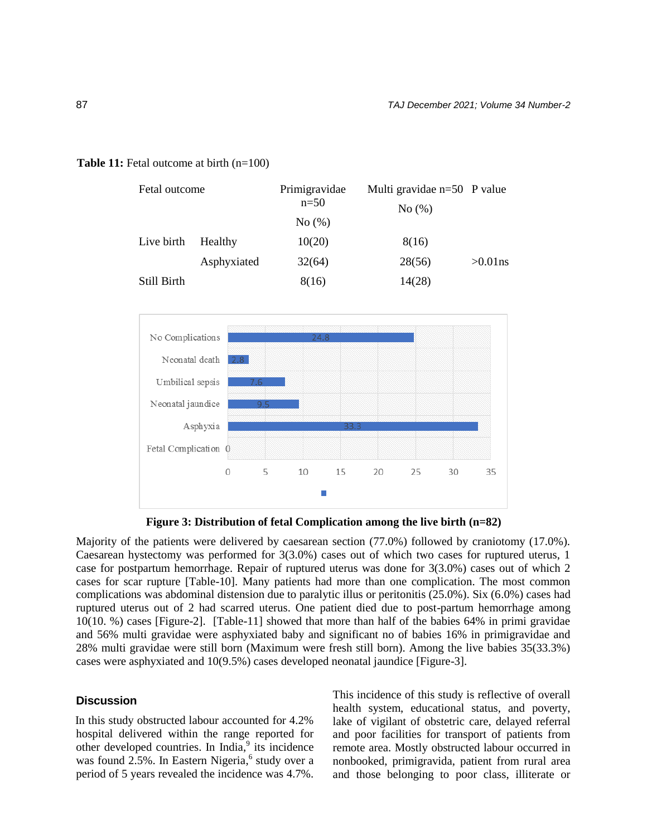# **Table 11:** Fetal outcome at birth (n=100)

| Fetal outcome |             | Primigravidae | Multi gravidae $n=50$ P value |            |
|---------------|-------------|---------------|-------------------------------|------------|
|               |             | $n=50$        | No(%)                         |            |
|               |             | No(%)         |                               |            |
| Live birth    | Healthy     | 10(20)        | 8(16)                         |            |
|               | Asphyxiated | 32(64)        | 28(56)                        | $>0.01$ ns |
| Still Birth   |             | 8(16)         | 14(28)                        |            |



**Figure 3: Distribution of fetal Complication among the live birth (n=82)**

Majority of the patients were delivered by caesarean section (77.0%) followed by craniotomy (17.0%). Caesarean hystectomy was performed for 3(3.0%) cases out of which two cases for ruptured uterus, 1 case for postpartum hemorrhage. Repair of ruptured uterus was done for 3(3.0%) cases out of which 2 cases for scar rupture [Table-10]. Many patients had more than one complication. The most common complications was abdominal distension due to paralytic illus or peritonitis (25.0%). Six (6.0%) cases had ruptured uterus out of 2 had scarred uterus. One patient died due to post-partum hemorrhage among 10(10. %) cases [Figure-2]. [Table-11] showed that more than half of the babies 64% in primi gravidae and 56% multi gravidae were asphyxiated baby and significant no of babies 16% in primigravidae and 28% multi gravidae were still born (Maximum were fresh still born). Among the live babies 35(33.3%) cases were asphyxiated and 10(9.5%) cases developed neonatal jaundice [Figure-3].

#### **Discussion**

In this study obstructed labour accounted for 4.2% hospital delivered within the range reported for other developed countries. In India,<sup>9</sup> its incidence was found 2.5%. In Eastern Nigeria,<sup>6</sup> study over a period of 5 years revealed the incidence was 4.7%.

This incidence of this study is reflective of overall health system, educational status, and poverty, lake of vigilant of obstetric care, delayed referral and poor facilities for transport of patients from remote area. Mostly obstructed labour occurred in nonbooked, primigravida, patient from rural area and those belonging to poor class, illiterate or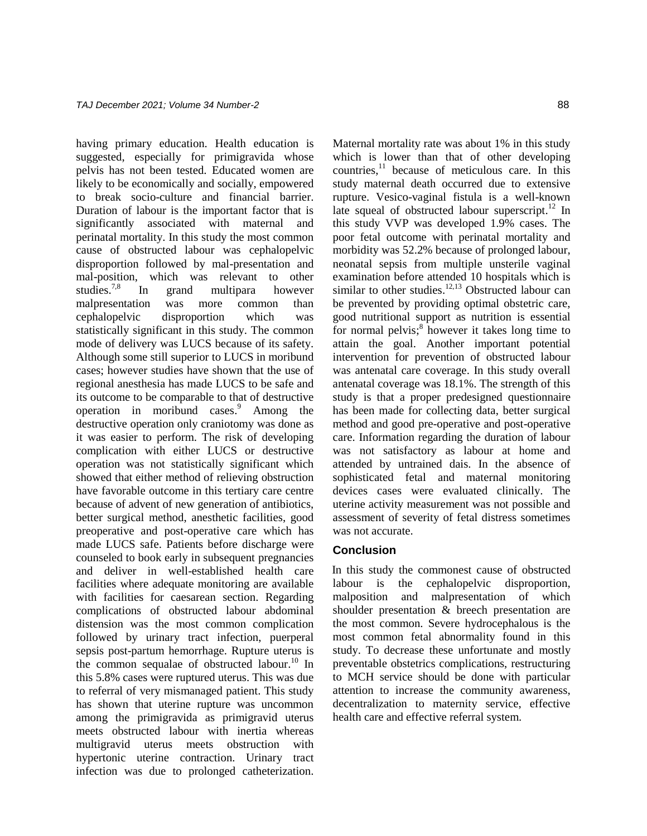having primary education. Health education is suggested, especially for primigravida whose pelvis has not been tested. Educated women are likely to be economically and socially, empowered to break socio-culture and financial barrier. Duration of labour is the important factor that is significantly associated with maternal and perinatal mortality. In this study the most common cause of obstructed labour was cephalopelvic disproportion followed by mal-presentation and mal-position, which was relevant to other studies. 7,8 In grand multipara however malpresentation was more common than cephalopelvic disproportion which was statistically significant in this study. The common mode of delivery was LUCS because of its safety. Although some still superior to LUCS in moribund cases; however studies have shown that the use of regional anesthesia has made LUCS to be safe and its outcome to be comparable to that of destructive operation in moribund cases. <sup>9</sup> Among the destructive operation only craniotomy was done as it was easier to perform. The risk of developing complication with either LUCS or destructive operation was not statistically significant which showed that either method of relieving obstruction have favorable outcome in this tertiary care centre because of advent of new generation of antibiotics, better surgical method, anesthetic facilities, good preoperative and post-operative care which has made LUCS safe. Patients before discharge were counseled to book early in subsequent pregnancies and deliver in well-established health care facilities where adequate monitoring are available with facilities for caesarean section. Regarding complications of obstructed labour abdominal distension was the most common complication followed by urinary tract infection, puerperal sepsis post-partum hemorrhage. Rupture uterus is the common sequalae of obstructed labour. <sup>10</sup> In this 5.8% cases were ruptured uterus. This was due to referral of very mismanaged patient. This study has shown that uterine rupture was uncommon among the primigravida as primigravid uterus meets obstructed labour with inertia whereas multigravid uterus meets obstruction with hypertonic uterine contraction. Urinary tract infection was due to prolonged catheterization.

Maternal mortality rate was about 1% in this study which is lower than that of other developing countries, <sup>11</sup> because of meticulous care. In this study maternal death occurred due to extensive rupture. Vesico-vaginal fistula is a well-known late squeal of obstructed labour superscript.<sup>12</sup> In this study VVP was developed 1.9% cases. The poor fetal outcome with perinatal mortality and morbidity was 52.2% because of prolonged labour, neonatal sepsis from multiple unsterile vaginal examination before attended 10 hospitals which is similar to other studies.<sup>12,13</sup> Obstructed labour can be prevented by providing optimal obstetric care, good nutritional support as nutrition is essential for normal pelvis;<sup>8</sup> however it takes long time to attain the goal. Another important potential intervention for prevention of obstructed labour was antenatal care coverage. In this study overall antenatal coverage was 18.1%. The strength of this study is that a proper predesigned questionnaire has been made for collecting data, better surgical method and good pre-operative and post-operative care. Information regarding the duration of labour was not satisfactory as labour at home and attended by untrained dais. In the absence of sophisticated fetal and maternal monitoring devices cases were evaluated clinically. The uterine activity measurement was not possible and assessment of severity of fetal distress sometimes was not accurate.

# **Conclusion**

In this study the commonest cause of obstructed labour is the cephalopelvic disproportion, malposition and malpresentation of which shoulder presentation & breech presentation are the most common. Severe hydrocephalous is the most common fetal abnormality found in this study. To decrease these unfortunate and mostly preventable obstetrics complications, restructuring to MCH service should be done with particular attention to increase the community awareness, decentralization to maternity service, effective health care and effective referral system.